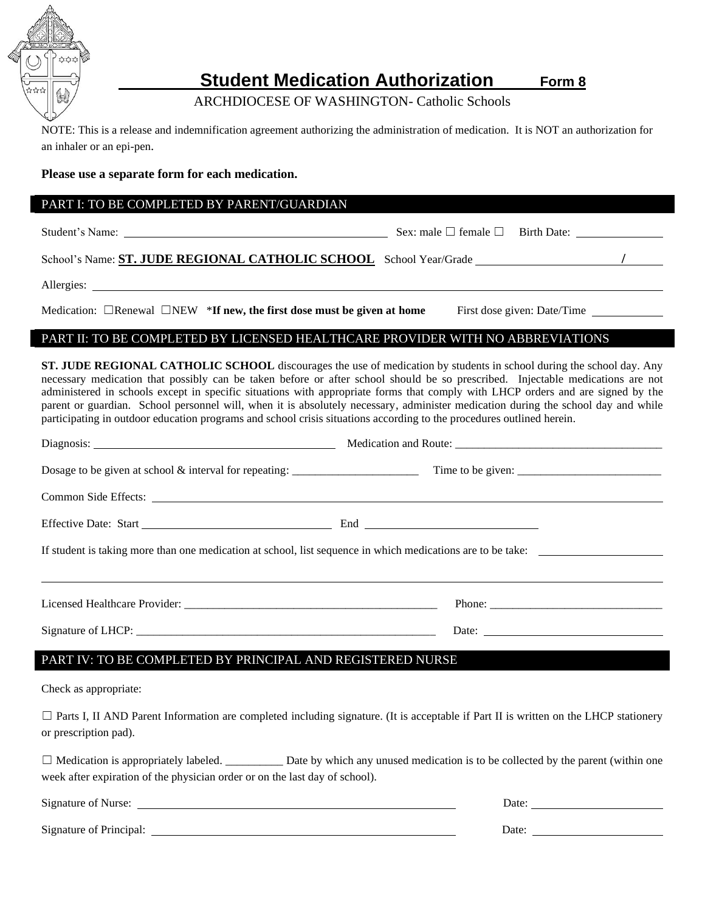

## **Student Medication Authorization Form 8**

ARCHDIOCESE OF WASHINGTON- Catholic Schools

NOTE: This is a release and indemnification agreement authorizing the administration of medication. It is NOT an authorization for an inhaler or an epi-pen.

## **Please use a separate form for each medication.**

| Please use a separate form for each medication.                                                                                                                                                                                                                                                                                                                                                                                                                                                                                                                                                                                                                |                             |  |
|----------------------------------------------------------------------------------------------------------------------------------------------------------------------------------------------------------------------------------------------------------------------------------------------------------------------------------------------------------------------------------------------------------------------------------------------------------------------------------------------------------------------------------------------------------------------------------------------------------------------------------------------------------------|-----------------------------|--|
| PART I: TO BE COMPLETED BY PARENT/GUARDIAN                                                                                                                                                                                                                                                                                                                                                                                                                                                                                                                                                                                                                     |                             |  |
|                                                                                                                                                                                                                                                                                                                                                                                                                                                                                                                                                                                                                                                                |                             |  |
|                                                                                                                                                                                                                                                                                                                                                                                                                                                                                                                                                                                                                                                                |                             |  |
|                                                                                                                                                                                                                                                                                                                                                                                                                                                                                                                                                                                                                                                                |                             |  |
| Medication: $\Box$ Renewal $\Box$ NEW *If new, the first dose must be given at home                                                                                                                                                                                                                                                                                                                                                                                                                                                                                                                                                                            | First dose given: Date/Time |  |
| PART II: TO BE COMPLETED BY LICENSED HEALTHCARE PROVIDER WITH NO ABBREVIATIONS                                                                                                                                                                                                                                                                                                                                                                                                                                                                                                                                                                                 |                             |  |
| <b>ST. JUDE REGIONAL CATHOLIC SCHOOL</b> discourages the use of medication by students in school during the school day. Any<br>necessary medication that possibly can be taken before or after school should be so prescribed. Injectable medications are not<br>administered in schools except in specific situations with appropriate forms that comply with LHCP orders and are signed by the<br>parent or guardian. School personnel will, when it is absolutely necessary, administer medication during the school day and while<br>participating in outdoor education programs and school crisis situations according to the procedures outlined herein. |                             |  |
|                                                                                                                                                                                                                                                                                                                                                                                                                                                                                                                                                                                                                                                                |                             |  |
|                                                                                                                                                                                                                                                                                                                                                                                                                                                                                                                                                                                                                                                                |                             |  |
|                                                                                                                                                                                                                                                                                                                                                                                                                                                                                                                                                                                                                                                                |                             |  |
|                                                                                                                                                                                                                                                                                                                                                                                                                                                                                                                                                                                                                                                                |                             |  |
| If student is taking more than one medication at school, list sequence in which medications are to be take:                                                                                                                                                                                                                                                                                                                                                                                                                                                                                                                                                    |                             |  |
|                                                                                                                                                                                                                                                                                                                                                                                                                                                                                                                                                                                                                                                                |                             |  |
|                                                                                                                                                                                                                                                                                                                                                                                                                                                                                                                                                                                                                                                                |                             |  |
|                                                                                                                                                                                                                                                                                                                                                                                                                                                                                                                                                                                                                                                                |                             |  |
| PART IV: TO BE COMPLETED BY PRINCIPAL AND REGISTERED NURSE                                                                                                                                                                                                                                                                                                                                                                                                                                                                                                                                                                                                     |                             |  |
| Check as appropriate:                                                                                                                                                                                                                                                                                                                                                                                                                                                                                                                                                                                                                                          |                             |  |
| $\Box$ Parts I, II AND Parent Information are completed including signature. (It is acceptable if Part II is written on the LHCP stationery<br>or prescription pad).                                                                                                                                                                                                                                                                                                                                                                                                                                                                                           |                             |  |
| $\Box$ Medication is appropriately labeled. $\Box$ Date by which any unused medication is to be collected by the parent (within one<br>week after expiration of the physician order or on the last day of school).                                                                                                                                                                                                                                                                                                                                                                                                                                             |                             |  |

Signature of Nurse: <u>Date:</u> Date: Date: Date: Date: Date: Date: Date: Date: Date: Date: Date: Date: Date: Date: Date: Date: Date: Date: Date: Date: Date: Date: Date: Date: Date: Date: Date: Date: Date: Date: Date: Date: Da

Signature of Principal: Date: